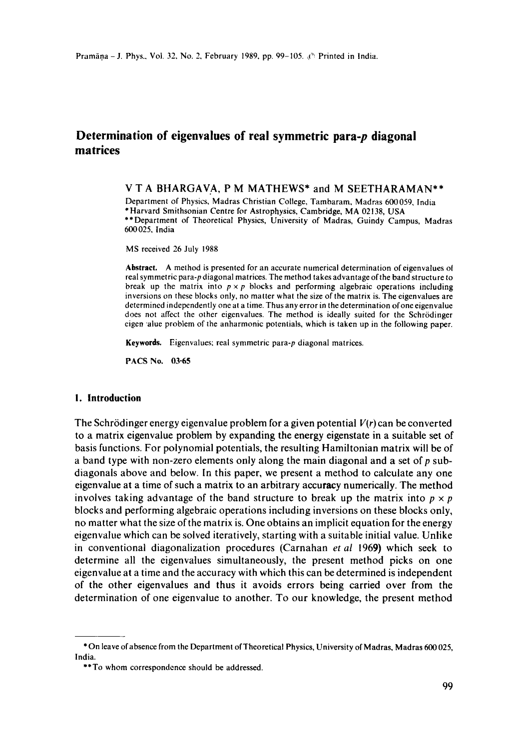# **Determination of eigenvalues of real symmetric para-p diagonal matrices**

### V T A BHARGAVA, P M MATHEWS\* and M SEETHARAMAN\*\*

Department of Physics, Madras Christian College, Tambaram, Madras 600059, India \*Harvard Smithsonian Centre for Astrophysics, Cambridge, MA 02138, USA \*\*Department of Theoretical Physics, University of Madras, Guindy Campus, Madras 600025, India

MS received 26 July 1988

Abstract. A method is presented for an accurate numerical determination of eigenvalues of real symmetric para-p diagonal matrices. The method takes advantage of the band structure to break up the matrix into  $p \times p$  blocks and performing algebraic operations including inversions on these blocks only, no matter what the size of the matrix is. The eigenvalues are determined independently one at a time. Thus any error in the determination ofone eigenvalue does not affect the other eigenvalues. The method is ideally suited for the Schrödinger eigen alue problem of the anharmonic potentials, which is taken up in the following paper.

**Keywords.** Eigenvalues; real symmetric para-p diagonal matrices.

PACS No. 03-65

#### **I. Introduction**

The Schrrdinger energy eigenvalue problem for a given potential *V(r)* can be converted to a matrix eigenvalue problem by expanding the energy eigenstate in a suitable set of basis functions. For polynomial potentials, the resulting Hamiltonian matrix will be of a band type with non-zero elements only along the main diagonal and a set of  $p$  subdiagonals above and below. In this paper, we present a method to calculate any one eigenvalue at a time of such a matrix to an arbitrary accuracy numerically. The method involves taking advantage of the band structure to break up the matrix into  $p \times p$ blocks and performing algebraic operations including inversions on these blocks only, no matter what the size of the matrix is. One obtains an implicit equation for the energy eigenvalue which can be solved iteratively, starting with a suitable initial value. Unlike in conventional diagonalization procedures (Carnahan *et al* 1969) which seek to determine all the eigenvalues simultaneously, the present method picks on one eigenvalue at a time and the accuracy with which this can be determined is independent of the other eigenvalues and thus it avoids errors being carried over from the determination of one eigenvalue to another. To our knowledge, the present method

<sup>\*</sup> On leave of absence from the Department of Theoretical Physics, University of Madras, Madras 600025, India.

<sup>\*\*</sup>To whom correspondence should be addressed.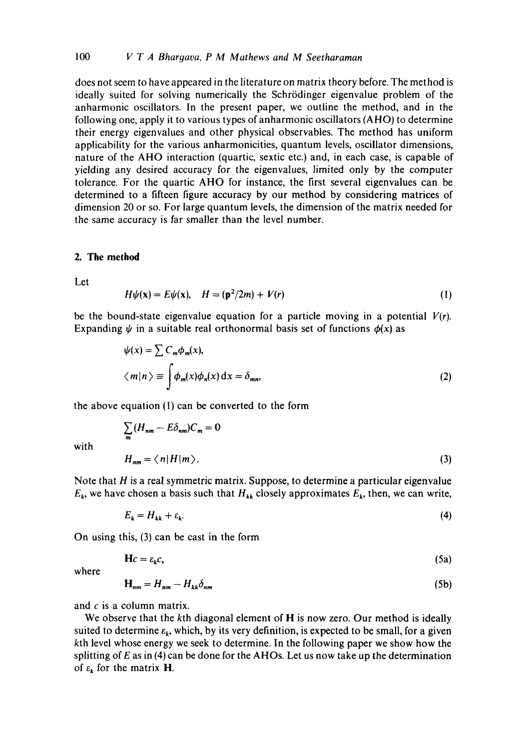does not seem to have appeared in the literature on matrix theory before. The method is ideally suited for solving numerically the Schrödinger eigenvalue problem of the anharmonic oscillators. In the present paper, we outline the method, and in the following one, apply it to various types of anharmonic oscillators (AHO) to determine their energy eigenvalues and other physical observables. The method has uniform applicability for the various anharmonicities, quantum levels, oscillator dimensions, nature of the AHO interaction (quartic, sextic etc.) and, in each case, is capable of yielding any desired accuracy for the eigenvalues, limited only by the computer tolerance. For the quartic AHO for instance, the first several eigenvalues can be determined to a fifteen figure accuracy by our method by considering matrices of dimension 20 or so. For large quantum levels, the dimension of the matrix needed for the same accuracy is far smaller than the level number.

#### **2. The method**

Let

$$
H\psi(\mathbf{x}) = E\psi(\mathbf{x}), \quad H = (\mathbf{p}^2/2m) + V(r) \tag{1}
$$

be the bound-state eigenvalue equation for a particle moving in a potential  $V(r)$ . Expanding  $\psi$  in a suitable real orthonormal basis set of functions  $\phi(x)$  as

$$
\psi(x) = \sum C_m \phi_m(x),
$$
  

$$
\langle m|n \rangle \equiv \int \phi_m(x) \phi_n(x) dx = \delta_{mn},
$$
 (2)

the above equation (1) can be converted to the form

$$
\sum_{m} (H_{nm} - E\delta_{nm})C_m = 0
$$
  

$$
H_{nm} = \langle n | H | m \rangle.
$$
 (3)

with

Note that H is a real symmetric matrix. Suppose, to determine a particular eigenvalue 
$$
E_k
$$
, we have chosen a basis such that  $H_{kk}$  closely approximates  $E_k$ , then, we can write,

$$
E_k = H_{kk} + \varepsilon_k. \tag{4}
$$

On using this, (3) can be cast in the form

$$
\mathbf{H}c = \varepsilon_{k}c,\tag{5a}
$$

where

$$
\mathbf{H}_{nm} = H_{nm} - H_{kk}\delta_{nm} \tag{5b}
$$

and  $c$  is a column matrix.

We observe that the kth diagonal element of **H** is now zero. Our method is ideally suited to determine  $\varepsilon_k$ , which, by its very definition, is expected to be small, for a given kth level whose energy we seek to determine. In the following paper we show how the splitting of  $E$  as in (4) can be done for the AHOs. Let us now take up the determination of  $\varepsilon_k$  for the matrix H.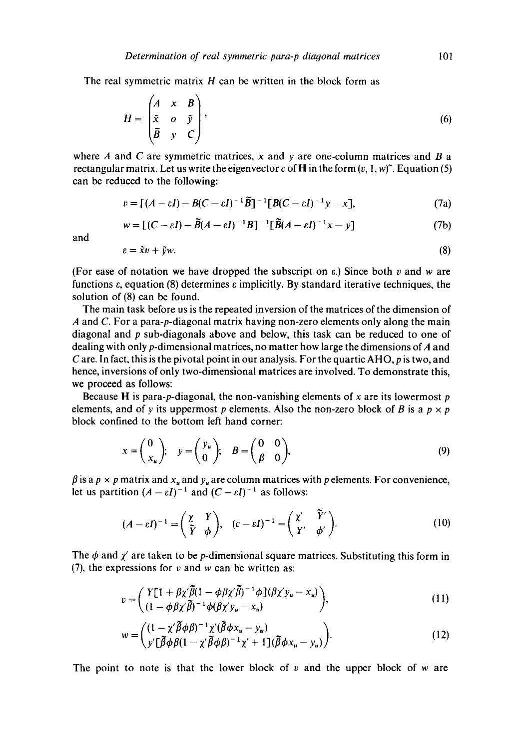The real symmetric matrix  $H$  can be written in the block form as

$$
H = \begin{pmatrix} A & x & B \\ \tilde{x} & o & \tilde{y} \\ \tilde{B} & y & C \end{pmatrix},\tag{6}
$$

where A and C are symmetric matrices, x and y are one-column matrices and B a rectangular matrix. Let us write the eigenvector c of **H** in the form  $(v, 1, w)^{\gamma}$ . Equation (5) can be reduced to the following:

$$
v = \left[ (A - \varepsilon I) - B(C - \varepsilon I)^{-1} \tilde{B} \right]^{-1} \left[ B(C - \varepsilon I)^{-1} y - x \right],\tag{7a}
$$

$$
w = [(C - \varepsilon I) - \widetilde{B}(A - \varepsilon I)^{-1}B]^{-1} [\widetilde{B}(A - \varepsilon I)^{-1}x - y]
$$
(7b)

and

$$
\varepsilon = \tilde{x}v + \tilde{y}w. \tag{8}
$$

(For ease of notation we have dropped the subscript on  $\varepsilon$ .) Since both v and w are functions  $\varepsilon$ , equation (8) determines  $\varepsilon$  implicitly. By standard iterative techniques, the solution of (8) can be found.

The main task before us is the repeated inversion of the matrices of the dimension of A and C. For a para-p-diagonai matrix having non-zero elements only along the main diagonal and  $p$  sub-diagonals above and below, this task can be reduced to one of dealing with only p-dimensional matrices, no matter how large the dimensions of A and C are. In fact, this is the pivotal point in our analysis. For the quartic AHO, p is two, and hence, inversions of only two-dimenslonal matrices are involved. To demonstrate this, we proceed as follows:

Because H is para-p-diagonal, the non-vanishing elements of x are its lowermost  $p$ elements, and of y its uppermost p elements. Also the non-zero block of B is a  $p \times p$ block confined to the bottom left hand corner:

$$
x = \begin{pmatrix} 0 \\ x_u \end{pmatrix}; \quad y = \begin{pmatrix} y_u \\ 0 \end{pmatrix}; \quad B = \begin{pmatrix} 0 & 0 \\ \beta & 0 \end{pmatrix}, \tag{9}
$$

 $\beta$  is a  $p \times p$  matrix and  $x_u$  and  $y_u$  are column matrices with p elements. For convenience, let us partition  $(A - \varepsilon I)^{-1}$  and  $(C - \varepsilon I)^{-1}$  as follows:

$$
(A - \varepsilon I)^{-1} = \begin{pmatrix} \chi & Y \\ \tilde{Y} & \phi \end{pmatrix}, \quad (c - \varepsilon I)^{-1} = \begin{pmatrix} \chi' & \tilde{Y}' \\ Y' & \phi' \end{pmatrix}.
$$
 (10)

The  $\phi$  and  $\chi'$  are taken to be p-dimensional square matrices. Substituting this form in (7), the expressions for  $v$  and  $w$  can be written as:

$$
v = \begin{pmatrix} Y[1 + \beta \chi' \bar{\beta} (1 - \phi \beta \chi' \bar{\beta})^{-1} \phi \, ](\beta \chi' y_u - x_u) \\ (1 - \phi \beta \chi' \bar{\beta})^{-1} \phi (\beta \chi' y_u - x_u) \end{pmatrix},\tag{11}
$$

$$
w = \begin{pmatrix} (1 - \chi' \widetilde{\beta} \phi \beta)^{-1} \chi'(\widetilde{\beta} \phi x_u - y_u) \\ y' [\widetilde{\beta} \phi \beta (1 - \chi' \widetilde{\beta} \phi \beta)^{-1} \chi' + 1] (\widetilde{\beta} \phi x_u - y_u) \end{pmatrix}.
$$
 (12)

The point to note is that the lower block of  $v$  and the upper block of  $w$  are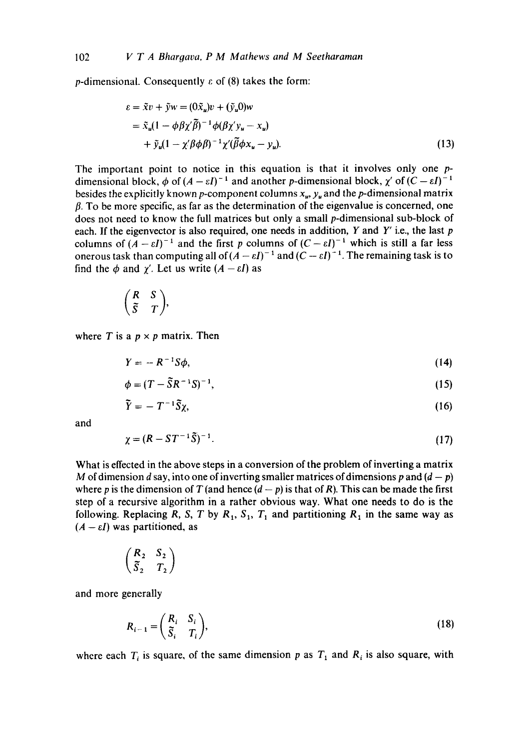p-dimensional. Consequently  $\varepsilon$  of (8) takes the form:

$$
\varepsilon = \tilde{x}v + \tilde{y}w = (0\tilde{x}_u)v + (\tilde{y}_u 0)w
$$
  
=  $\tilde{x}_u(1 - \phi \beta \chi' \tilde{\beta})^{-1} \phi(\beta \chi' y_u - x_u)$   
+  $\tilde{y}_u(1 - \chi' \beta \phi \beta)^{-1} \chi'(\tilde{\beta} \phi x_u - y_u).$  (13)

The important point to notice in this equation is that it involves only one pdimensional block,  $\phi$  of  $(A - \varepsilon I)^{-1}$  and another p-dimensional block,  $\chi'$  of  $(C - \varepsilon I)^{-1}$ besides the explicitly known p-component columns  $x_u$ ,  $y_u$  and the p-dimensional matrix  $\beta$ . To be more specific, as far as the determination of the eigenvalue is concerned, one does not need to know the full matrices but only a small p-dimensional sub-block of each. If the eigenvector is also required, one needs in addition, Y and Y' i.e., the last  $p$ columns of  $(A - \varepsilon I)^{-1}$  and the first p columns of  $(C - \varepsilon I)^{-1}$  which is still a far less onerous task than computing all of  $(A - \varepsilon I)^{-1}$  and  $(C - \varepsilon I)^{-1}$ . The remaining task is to find the  $\phi$  and  $\gamma'$ . Let us write  $(A - \varepsilon I)$  as

$$
\begin{pmatrix} R & S \\ \tilde{S} & T \end{pmatrix},
$$

where T is a  $p \times p$  matrix. Then

$$
Y = -R^{-1}S\phi, \tag{14}
$$

$$
\phi = (T - \tilde{S}R^{-1}S)^{-1},\tag{15}
$$

$$
\tilde{Y} = -T^{-1}\tilde{S}\chi,\tag{16}
$$

and

$$
\chi = (R - ST^{-1}\tilde{S})^{-1}.
$$
 (17)

What is effected in the above steps in a conversion of the problem of inverting a matrix M of dimension d say, into one of inverting smaller matrices of dimensions p and  $(d - p)$ where p is the dimension of T (and hence  $(d - p)$  is that of R). This can be made the first step of a recursive algorithm in a rather obvious way. What one needs to do is the following. Replacing R, S, T by R<sub>1</sub>, S<sub>1</sub>, T<sub>1</sub> and partitioning R<sub>1</sub> in the same way as  $(A - \varepsilon I)$  was partitioned, as

$$
\begin{pmatrix} R_2 & S_2 \\ \tilde{S}_2 & T_2 \end{pmatrix}
$$

and more generally

$$
R_{i-1} = \left(\begin{array}{cc} R_i & S_i \\ \tilde{S}_i & T_i \end{array}\right),\tag{18}
$$

where each  $T_i$  is square, of the same dimension p as  $T_1$  and  $R_i$  is also square, with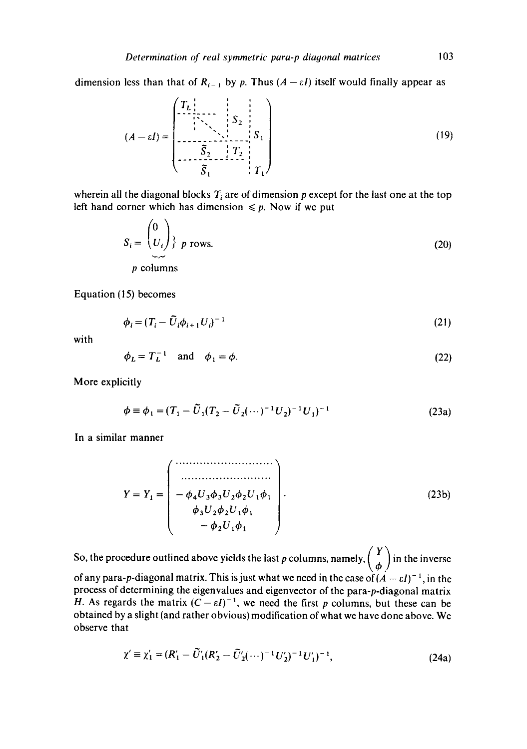dimension less than that of  $R_{i-1}$  by p. Thus  $(A - \varepsilon I)$  itself would finally appear as

$$
(A - \varepsilon I) = \begin{pmatrix} T_L \\ \vdots \\ T_{\lambda} \\ \vdots \\ \vdots \\ T_{\lambda} \\ \vdots \\ \vdots \\ T_1 \end{pmatrix} S_1
$$
 (19)

wherein all the diagonal blocks  $T_i$  are of dimension p except for the last one at the top left hand corner which has dimension  $\leq p$ . Now if we put

$$
S_i = \begin{pmatrix} 0 \\ U_i \end{pmatrix} \begin{cases} p \text{ rows.} \\ p \text{ columns} \end{cases}
$$
 (20)

Equation (15) becomes

$$
\phi_i = (T_i - \tilde{U}_i \phi_{i+1} U_i)^{-1}
$$
\n(21)

with

$$
\phi_L = T_L^{-1} \quad \text{and} \quad \phi_1 = \phi. \tag{22}
$$

More explicitly

$$
\phi \equiv \phi_1 = (T_1 - \tilde{U}_1(T_2 - \tilde{U}_2(\cdots)^{-1}U_2)^{-1}U_1)^{-1}
$$
\n(23a)

In a similar manner

$$
Y = Y_1 = \begin{pmatrix} \cdots & \cdots & \cdots & \cdots \\ \cdots & \cdots & \cdots & \cdots \\ -\phi_4 U_3 \phi_3 U_2 \phi_2 U_1 \phi_1 \\ \phi_3 U_2 \phi_2 U_1 \phi_1 \\ -\phi_2 U_1 \phi_1 \end{pmatrix} .
$$
 (23b)

So, the procedure outlined above yields the last p columns, namely,  $\begin{pmatrix} Y \\ \phi \end{pmatrix}$  in the inverse of any para-p-diagonal matrix. This is just what we need in the case of  $(A - \varepsilon I)^{-1}$ , in the process of determining the eigenvalues and eigenvector of the para-p-diagonal matrix H. As regards the matrix  $(C - \varepsilon I)^{-1}$ , we need the first p columns, but these can be obtained by a slight (and rather obvious) modification of what we have done above. We observe that

$$
\chi' \equiv \chi'_1 = (R'_1 - \tilde{U}'_1 (R'_2 - \tilde{U}'_2 (\cdots)^{-1} U'_2)^{-1} U'_1)^{-1},
$$
\n(24a)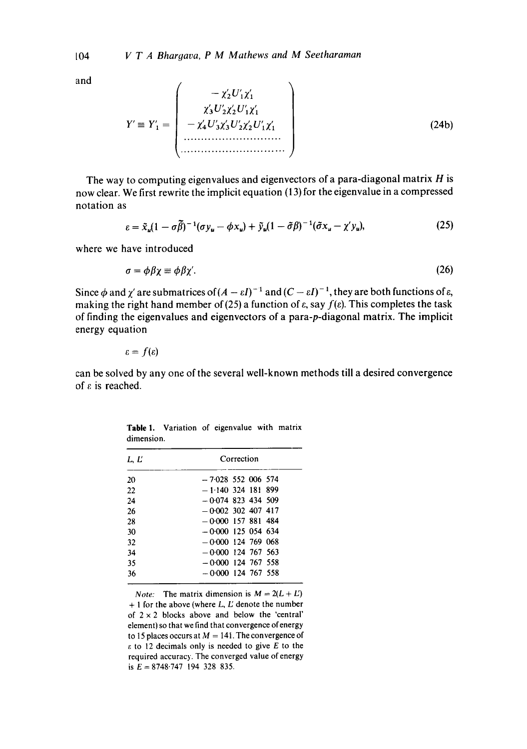and

y'\_~ y'l= *<sup>I</sup>- <sup>z</sup>':U',z'~ t i i t v*  ~(3 U2~(2 UIZ1 **! ! t t ! ! t**  -- z4U3~3Uzj(2UI~( 1 *i ...........................*  (24b)

The way to computing eigenvalues and eigenvectors of a para-diagonal matrix  $H$  is now clear. We first rewrite the implicit equation (13) for the eigenvalue in a compressed notation as

$$
\varepsilon = \tilde{x}_u (1 - \sigma \tilde{\beta})^{-1} (\sigma y_u - \phi x_u) + \tilde{y}_u (1 - \tilde{\sigma} \beta)^{-1} (\tilde{\sigma} x_u - \chi' y_u), \tag{25}
$$

where we have introduced

$$
\sigma = \phi \beta \chi \equiv \phi \beta \chi'. \tag{26}
$$

Since  $\phi$  and  $\chi'$  are submatrices of  $(A - \varepsilon I)^{-1}$  and  $(C - \varepsilon I)^{-1}$ , they are both functions of  $\varepsilon$ , making the right hand member of (25) a function of  $\varepsilon$ , say  $f(\varepsilon)$ . This completes the task of finding the eigenvalues and eigenvectors of a para-p-diagonal matrix. The implicit energy equation

$$
\varepsilon=f(\varepsilon)
$$

can be solved by any one of the several well-known methods till a desired convergence of  $\varepsilon$  is reached.

Table 1. Variation of eigenvalue with matrix dimension.

| L, E | Correction           |
|------|----------------------|
| 20   | $-7.028$ 552 006 574 |
| 22   | $-1.140$ 324 181 899 |
| 24   | $-0.074$ 823 434 509 |
| 26   | $-0.002$ 302 407 417 |
| 28   | $-0.000$ 157 881 484 |
| 30   | $-0.000$ 125 054 634 |
| 32   | $-0.000$ 124 769 068 |
| 34   | $-0.000$ 124 767 563 |
| 35   | $-0.000$ 124 767 558 |
| 36   | $-0.000$ 124 767 558 |

*Note:* The matrix dimension is  $M = 2(L + L)$ + 1 for the above (where *L, E* denote the number of  $2 \times 2$  blocks above and below the 'central' element) so that we find that convergence of energy to 15 places occurs at  $M = 141$ . The convergence of  $\varepsilon$  to 12 decimals only is needed to give E to the required accuracy. The converged value of energy is  $E = 8748.747$  194 328 835.